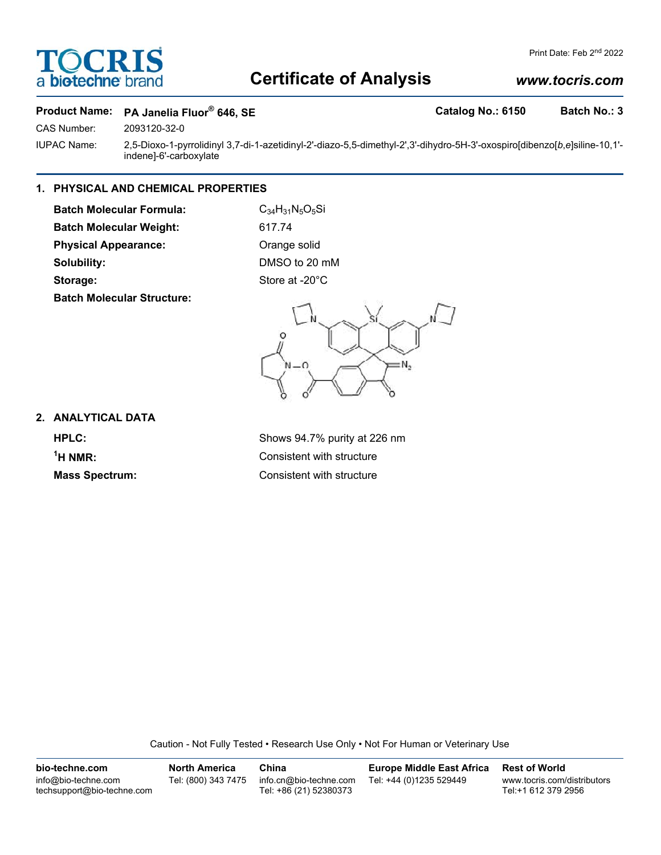# **Certificate of Analysis**

# *www.tocris.com*

# **Product Name:** PA Janelia Fluor<sup>®</sup> 646, SE **Catalog No.: 6150** Batch No.: 3

CAS Number: 2093120-32-0

IUPAC Name: 2,5-Dioxo-1-pyrrolidinyl 3,7-di-1-azetidinyl-2'-diazo-5,5-dimethyl-2',3'-dihydro-5H-3'-oxospiro[dibenzo[*b*,*e*]siline-10,1' indene]-6'-carboxylate

# **1. PHYSICAL AND CHEMICAL PROPERTIES**

**Batch Molecular Formula:** C<sub>34</sub>H<sub>31</sub>N<sub>5</sub>O<sub>5</sub>Si **Batch Molecular Weight:** 617.74 **Physical Appearance:** Orange solid

**Batch Molecular Structure:**

**Solubility:** DMSO to 20 mM Storage: Store at -20°C



**2. ANALYTICAL DATA**

 $<sup>1</sup>H NMR$ :</sup>

**HPLC:** Shows 94.7% purity at 226 nm **Consistent with structure Mass Spectrum:** Consistent with structure

Caution - Not Fully Tested • Research Use Only • Not For Human or Veterinary Use

**bio-techne.com** info@bio-techne.com techsupport@bio-techne.com **North America** Tel: (800) 343 7475 **China** info.cn@bio-techne.com Tel: +86 (21) 52380373 **Europe Middle East Africa** Tel: +44 (0)1235 529449 **Rest of World** www.tocris.com/distributors Tel:+1 612 379 2956